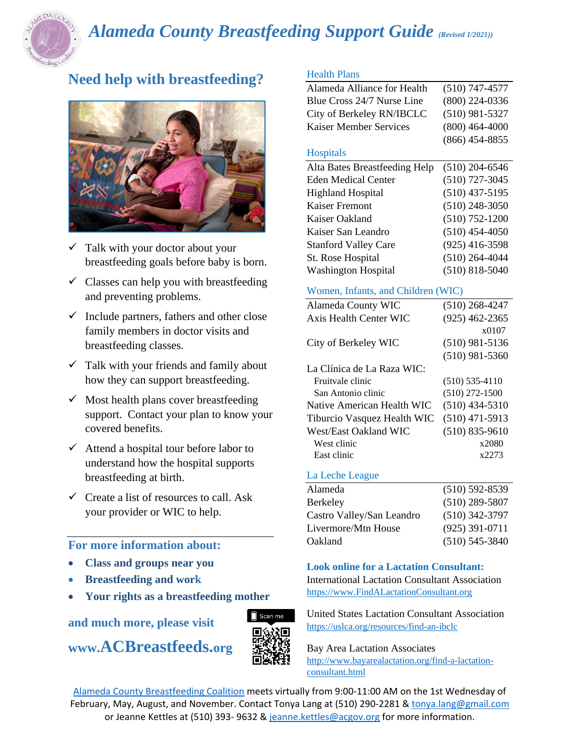

# *Alameda County Breastfeeding Support Guide (Revised 1/2021))*

# **Need help with breastfeeding?**



- $\checkmark$  Talk with your doctor about your breastfeeding goals before baby is born.
- $\checkmark$  Classes can help you with breastfeeding and preventing problems.
- $\checkmark$  Include partners, fathers and other close family members in doctor visits and breastfeeding classes.
- $\checkmark$  Talk with your friends and family about how they can support breastfeeding.
- $\checkmark$  Most health plans cover breastfeeding support. Contact your plan to know your covered benefits.
- $\checkmark$  Attend a hospital tour before labor to understand how the hospital supports breastfeeding at birth.
- $\checkmark$  Create a list of resources to call. Ask your provider or WIC to help.

### **For more information about:**

- **Class and groups near you**
- **Breastfeeding and work**
- **Your rights as a breastfeeding mother**

**and much more, please visit** 

**www.ACBreastfeeds.org**



### Health Plans

| Alameda Alliance for Health | $(510)$ 747-4577 |
|-----------------------------|------------------|
| Blue Cross 24/7 Nurse Line  | $(800)$ 224-0336 |
| City of Berkeley RN/IBCLC   | $(510)$ 981-5327 |
| Kaiser Member Services      | $(800)$ 464-4000 |
|                             | $(866)$ 454-8855 |

### **Hospitals**

| Alta Bates Breastfeeding Help | $(510)$ 204-6546   |
|-------------------------------|--------------------|
| <b>Eden Medical Center</b>    | $(510)$ 727-3045   |
| <b>Highland Hospital</b>      | $(510)$ 437-5195   |
| <b>Kaiser Fremont</b>         | $(510)$ 248-3050   |
| Kaiser Oakland                | $(510)$ 752-1200   |
| Kaiser San Leandro            | $(510)$ 454-4050   |
| <b>Stanford Valley Care</b>   | $(925)$ 416-3598   |
| St. Rose Hospital             | $(510)$ 264-4044   |
| <b>Washington Hospital</b>    | $(510) 818 - 5040$ |

### Women, Infants, and Children (WIC)

| Alameda County WIC          | $(510)$ 268-4247   |
|-----------------------------|--------------------|
| Axis Health Center WIC      | $(925)$ 462-2365   |
|                             | x0107              |
| City of Berkeley WIC        | $(510)$ 981-5136   |
|                             | $(510)$ 981-5360   |
| La Clínica de La Raza WIC:  |                    |
| Fruitvale clinic            | $(510)$ 535-4110   |
| San Antonio clinic          | $(510)$ 272-1500   |
| Native American Health WIC  | $(510)$ 434-5310   |
| Tiburcio Vasquez Health WIC | $(510)$ 471-5913   |
| West/East Oakland WIC       | $(510) 835 - 9610$ |
| West clinic                 | x2080              |
| East clinic                 | x2273              |
|                             |                    |

### La Leche League

| Alameda                   | $(510) 592 - 8539$ |
|---------------------------|--------------------|
| Berkeley                  | $(510)$ 289-5807   |
| Castro Valley/San Leandro | $(510)$ 342-3797   |
| Livermore/Mtn House       | $(925)$ 391-0711   |
| Oakland                   | $(510)$ 545-3840   |

### **Look online for a Lactation Consultant:**

International Lactation Consultant Association [https://www.FindALactationConsultant.org](https://www.findalactationconsultant.org/)

United States Lactation Consultant Association <https://uslca.org/resources/find-an-ibclc>

Bay Area Lactation Associates [http://www.bayarealactation.org/find-a-lactation](http://www.bayarealactation.org/find-a-lactation-consultant.html)[consultant.html](http://www.bayarealactation.org/find-a-lactation-consultant.html)

[Alameda County Breastfeeding Coalition](http://californiabreastfeeding.org/coalition-information/communitycoalitions/members/alameda/) meets virtually from 9:00-11:00 AM on the 1st Wednesday of February, May, August, and November. Contact Tonya Lang at (510) 290-2281 [& tonya.lang@gmail.com](mailto:tonya.lang@gmail.com) or Jeanne Kettles at (510) 393- 9632 [& jeanne.kettles@acgov.org](mailto:jeanne.kettles@acgov.org) for more information.